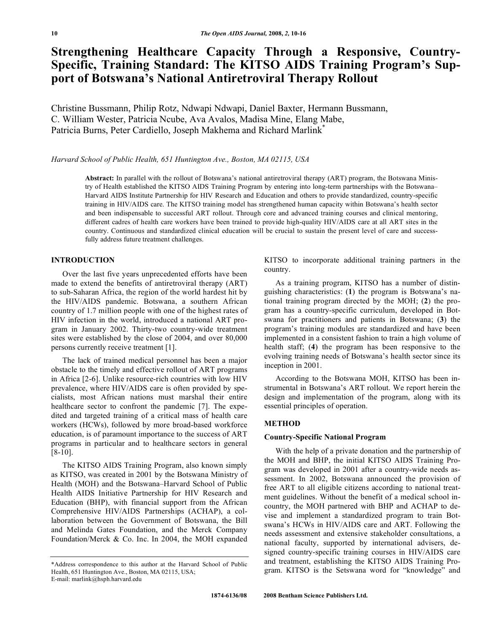# **Strengthening Healthcare Capacity Through a Responsive, Country-Specific, Training Standard: The KITSO AIDS Training Program's Support of Botswana's National Antiretroviral Therapy Rollout**

Christine Bussmann, Philip Rotz, Ndwapi Ndwapi, Daniel Baxter, Hermann Bussmann, C. William Wester, Patricia Ncube, Ava Avalos, Madisa Mine, Elang Mabe, Patricia Burns, Peter Cardiello, Joseph Makhema and Richard Marlink<sup>\*</sup>

#### *Harvard School of Public Health, 651 Huntington Ave., Boston, MA 02115, USA*

**Abstract:** In parallel with the rollout of Botswana's national antiretroviral therapy (ART) program, the Botswana Ministry of Health established the KITSO AIDS Training Program by entering into long-term partnerships with the Botswana– Harvard AIDS Institute Partnership for HIV Research and Education and others to provide standardized, country-specific training in HIV/AIDS care. The KITSO training model has strengthened human capacity within Botswana's health sector and been indispensable to successful ART rollout. Through core and advanced training courses and clinical mentoring, different cadres of health care workers have been trained to provide high-quality HIV/AIDS care at all ART sites in the country. Continuous and standardized clinical education will be crucial to sustain the present level of care and successfully address future treatment challenges.

## **INTRODUCTION**

 Over the last five years unprecedented efforts have been made to extend the benefits of antiretroviral therapy (ART) to sub-Saharan Africa, the region of the world hardest hit by the HIV/AIDS pandemic. Botswana, a southern African country of 1.7 million people with one of the highest rates of HIV infection in the world, introduced a national ART program in January 2002. Thirty-two country-wide treatment sites were established by the close of 2004, and over 80,000 persons currently receive treatment [1].

 The lack of trained medical personnel has been a major obstacle to the timely and effective rollout of ART programs in Africa [2-6]. Unlike resource-rich countries with low HIV prevalence, where HIV/AIDS care is often provided by specialists, most African nations must marshal their entire healthcare sector to confront the pandemic [7]. The expedited and targeted training of a critical mass of health care workers (HCWs), followed by more broad-based workforce education, is of paramount importance to the success of ART programs in particular and to healthcare sectors in general [8-10].

 The KITSO AIDS Training Program, also known simply as KITSO, was created in 2001 by the Botswana Ministry of Health (MOH) and the Botswana–Harvard School of Public Health AIDS Initiative Partnership for HIV Research and Education (BHP), with financial support from the African Comprehensive HIV/AIDS Partnerships (ACHAP), a collaboration between the Government of Botswana, the Bill and Melinda Gates Foundation, and the Merck Company Foundation/Merck & Co. Inc. In 2004, the MOH expanded

KITSO to incorporate additional training partners in the country.

 As a training program, KITSO has a number of distinguishing characteristics: (**1**) the program is Botswana's national training program directed by the MOH; (**2**) the program has a country-specific curriculum, developed in Botswana for practitioners and patients in Botswana; (**3**) the program's training modules are standardized and have been implemented in a consistent fashion to train a high volume of health staff; (**4**) the program has been responsive to the evolving training needs of Botswana's health sector since its inception in 2001.

 According to the Botswana MOH, KITSO has been instrumental in Botswana's ART rollout. We report herein the design and implementation of the program, along with its essential principles of operation.

## **METHOD**

#### **Country-Specific National Program**

 With the help of a private donation and the partnership of the MOH and BHP, the initial KITSO AIDS Training Program was developed in 2001 after a country-wide needs assessment. In 2002, Botswana announced the provision of free ART to all eligible citizens according to national treatment guidelines. Without the benefit of a medical school incountry, the MOH partnered with BHP and ACHAP to devise and implement a standardized program to train Botswana's HCWs in HIV/AIDS care and ART. Following the needs assessment and extensive stakeholder consultations, a national faculty, supported by international advisers, designed country-specific training courses in HIV/AIDS care and treatment, establishing the KITSO AIDS Training Program. KITSO is the Setswana word for "knowledge" and

<sup>\*</sup>Address correspondence to this author at the Harvard School of Public Health, 651 Huntington Ave., Boston, MA 02115, USA; E-mail: marlink@hsph.harvard.edu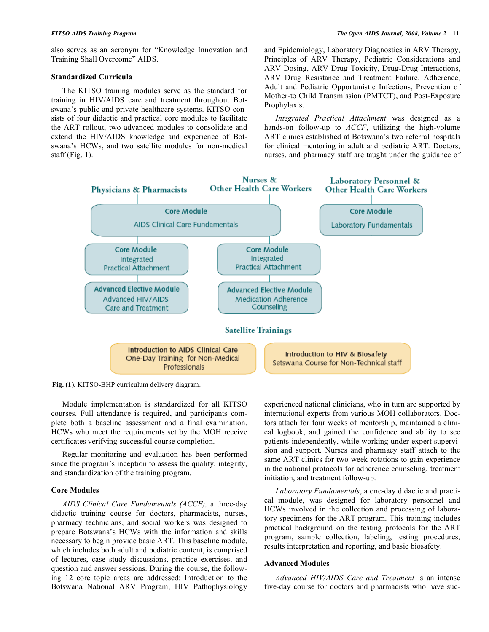also serves as an acronym for "Knowledge Innovation and Training Shall Overcome" AIDS.

#### **Standardized Curricula**

 The KITSO training modules serve as the standard for training in HIV/AIDS care and treatment throughout Botswana's public and private healthcare systems. KITSO consists of four didactic and practical core modules to facilitate the ART rollout, two advanced modules to consolidate and extend the HIV/AIDS knowledge and experience of Botswana's HCWs, and two satellite modules for non-medical staff (Fig. **1**).

and Epidemiology, Laboratory Diagnostics in ARV Therapy, Principles of ARV Therapy, Pediatric Considerations and ARV Dosing, ARV Drug Toxicity, Drug-Drug Interactions, ARV Drug Resistance and Treatment Failure, Adherence, Adult and Pediatric Opportunistic Infections, Prevention of Mother-to Child Transmission (PMTCT), and Post-Exposure Prophylaxis.

 *Integrated Practical Attachment* was designed as a hands-on follow-up to *ACCF*, utilizing the high-volume ART clinics established at Botswana's two referral hospitals for clinical mentoring in adult and pediatric ART. Doctors, nurses, and pharmacy staff are taught under the guidance of



**Fig. (1).** KITSO-BHP curriculum delivery diagram.

 Module implementation is standardized for all KITSO courses. Full attendance is required, and participants complete both a baseline assessment and a final examination. HCWs who meet the requirements set by the MOH receive certificates verifying successful course completion.

 Regular monitoring and evaluation has been performed since the program's inception to assess the quality, integrity, and standardization of the training program.

## **Core Modules**

 *AIDS Clinical Care Fundamentals (ACCF),* a three-day didactic training course for doctors, pharmacists, nurses, pharmacy technicians, and social workers was designed to prepare Botswana's HCWs with the information and skills necessary to begin provide basic ART. This baseline module, which includes both adult and pediatric content, is comprised of lectures, case study discussions, practice exercises, and question and answer sessions. During the course, the following 12 core topic areas are addressed: Introduction to the Botswana National ARV Program, HIV Pathophysiology

experienced national clinicians, who in turn are supported by international experts from various MOH collaborators. Doctors attach for four weeks of mentorship, maintained a clinical logbook, and gained the confidence and ability to see patients independently, while working under expert supervision and support. Nurses and pharmacy staff attach to the same ART clinics for two week rotations to gain experience in the national protocols for adherence counseling, treatment initiation, and treatment follow-up.

 *Laboratory Fundamentals*, a one-day didactic and practical module, was designed for laboratory personnel and HCWs involved in the collection and processing of laboratory specimens for the ART program. This training includes practical background on the testing protocols for the ART program, sample collection, labeling, testing procedures, results interpretation and reporting, and basic biosafety.

#### **Advanced Modules**

 *Advanced HIV/AIDS Care and Treatment* is an intense five-day course for doctors and pharmacists who have suc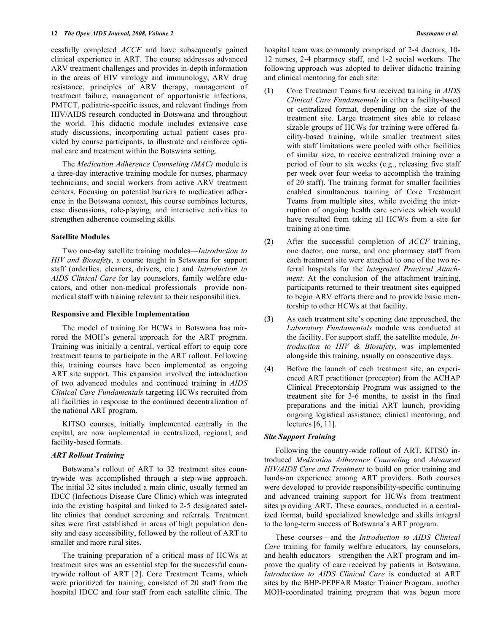cessfully completed *ACCF* and have subsequently gained clinical experience in ART. The course addresses advanced ARV treatment challenges and provides in-depth information in the areas of HIV virology and immunology, ARV drug resistance, principles of ARV therapy, management of treatment failure, management of opportunistic infections, PMTCT, pediatric-specific issues, and relevant findings from HIV/AIDS research conducted in Botswana and throughout the world. This didactic module includes extensive case study discussions, incorporating actual patient cases provided by course participants, to illustrate and reinforce optimal care and treatment within the Botswana setting.

 The *Medication Adherence Counseling (MAC)* module is a three-day interactive training module for nurses, pharmacy technicians, and social workers from active ARV treatment centers. Focusing on potential barriers to medication adherence in the Botswana context, this course combines lectures, case discussions, role-playing, and interactive activities to strengthen adherence counseling skills.

## **Satellite Modules**

 Two one-day satellite training modules—*Introduction to HIV and Biosafety,* a course taught in Setswana for support staff (orderlies, cleaners, drivers, etc.) and *Introduction to AIDS Clinical Care* for lay counselors, family welfare educators, and other non-medical professionals—provide nonmedical staff with training relevant to their responsibilities.

## **Responsive and Flexible Implementation**

 The model of training for HCWs in Botswana has mirrored the MOH's general approach for the ART program. Training was initially a central, vertical effort to equip core treatment teams to participate in the ART rollout. Following this, training courses have been implemented as ongoing ART site support. This expansion involved the introduction of two advanced modules and continued training in *AIDS Clinical Care Fundamentals* targeting HCWs recruited from all facilities in response to the continued decentralization of the national ART program.

 KITSO courses, initially implemented centrally in the capital, are now implemented in centralized, regional, and facility-based formats.

## *ART Rollout Training*

 Botswana's rollout of ART to 32 treatment sites countrywide was accomplished through a step-wise approach. The initial 32 sites included a main clinic, usually termed an IDCC (Infectious Disease Care Clinic) which was integrated into the existing hospital and linked to 2-5 designated satellite clinics that conduct screening and referrals. Treatment sites were first established in areas of high population density and easy accessibility, followed by the rollout of ART to smaller and more rural sites.

 The training preparation of a critical mass of HCWs at treatment sites was an essential step for the successful countrywide rollout of ART [2]. Core Treatment Teams, which were prioritized for training, consisted of 20 staff from the hospital IDCC and four staff from each satellite clinic. The

- (**1**) Core Treatment Teams first received training in *AIDS Clinical Care Fundamentals* in either a facility-based or centralized format, depending on the size of the treatment site. Large treatment sites able to release sizable groups of HCWs for training were offered facility-based training, while smaller treatment sites with staff limitations were pooled with other facilities of similar size, to receive centralized training over a period of four to six weeks (e.g., releasing five staff per week over four weeks to accomplish the training of 20 staff). The training format for smaller facilities enabled simultaneous training of Core Treatment Teams from multiple sites, while avoiding the interruption of ongoing health care services which would have resulted from taking all HCWs from a site for training at one time.
- (**2**) After the successful completion of *ACCF* training, one doctor, one nurse, and one pharmacy staff from each treatment site were attached to one of the two referral hospitals for the *Integrated Practical Attachment*. At the conclusion of the attachment training, participants returned to their treatment sites equipped to begin ARV efforts there and to provide basic mentorship to other HCWs at that facility.
- (**3**) As each treatment site's opening date approached, the *Laboratory Fundamentals* module was conducted at the facility. For support staff, the satellite module, *Introduction to HIV & Biosafety*, was implemented alongside this training, usually on consecutive days.
- (**4**) Before the launch of each treatment site, an experienced ART practitioner (preceptor) from the ACHAP Clinical Preceptorship Program was assigned to the treatment site for 3-6 months, to assist in the final preparations and the initial ART launch, providing ongoing logistical assistance, clinical mentoring, and lectures [6, 11].

#### *Site Support Training*

 Following the country-wide rollout of ART, KITSO introduced *Medication Adherence Counseling* and *Advanced HIV/AIDS Care and Treatment* to build on prior training and hands-on experience among ART providers. Both courses were developed to provide responsibility-specific continuing and advanced training support for HCWs from treatment sites providing ART. These courses, conducted in a centralized format, build specialized knowledge and skills integral to the long-term success of Botswana's ART program.

 These courses—and the *Introduction to AIDS Clinical Care* training for family welfare educators, lay counselors, and health educators—strengthen the ART program and improve the quality of care received by patients in Botswana. *Introduction to AIDS Clinical Care* is conducted at ART sites by the BHP-PEPFAR Master Trainer Program, another MOH-coordinated training program that was begun more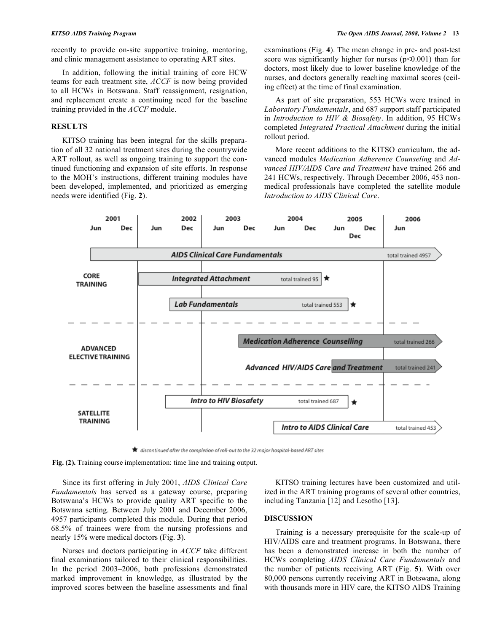recently to provide on-site supportive training, mentoring, and clinic management assistance to operating ART sites.

 In addition, following the initial training of core HCW teams for each treatment site, *ACCF* is now being provided to all HCWs in Botswana. Staff reassignment, resignation, and replacement create a continuing need for the baseline training provided in the *ACCF* module.

## **RESULTS**

 KITSO training has been integral for the skills preparation of all 32 national treatment sites during the countrywide ART rollout, as well as ongoing training to support the continued functioning and expansion of site efforts. In response to the MOH's instructions, different training modules have been developed, implemented, and prioritized as emerging needs were identified (Fig. **2**).

examinations (Fig. **4**). The mean change in pre- and post-test score was significantly higher for nurses  $(p<0.001)$  than for doctors, most likely due to lower baseline knowledge of the nurses, and doctors generally reaching maximal scores (ceiling effect) at the time of final examination.

 As part of site preparation, 553 HCWs were trained in *Laboratory Fundamentals*, and 687 support staff participated in *Introduction to HIV & Biosafety*. In addition, 95 HCWs completed *Integrated Practical Attachment* during the initial rollout period.

 More recent additions to the KITSO curriculum, the advanced modules *Medication Adherence Counseling* and *Advanced HIV/AIDS Care and Treatment* have trained 266 and 241 HCWs, respectively. Through December 2006, 453 nonmedical professionals have completed the satellite module *Introduction to AIDS Clinical Care*.



**★** discontinued after the completion of roll-out to the 32 major hospital-based ART sites

**Fig. (2).** Training course implementation: time line and training output.

 Since its first offering in July 2001, *AIDS Clinical Care Fundamentals* has served as a gateway course, preparing Botswana's HCWs to provide quality ART specific to the Botswana setting. Between July 2001 and December 2006, 4957 participants completed this module. During that period 68.5% of trainees were from the nursing professions and nearly 15% were medical doctors (Fig. **3**).

 Nurses and doctors participating in *ACCF* take different final examinations tailored to their clinical responsibilities. In the period 2003–2006, both professions demonstrated marked improvement in knowledge, as illustrated by the improved scores between the baseline assessments and final

 KITSO training lectures have been customized and utilized in the ART training programs of several other countries, including Tanzania [12] and Lesotho [13].

## **DISCUSSION**

 Training is a necessary prerequisite for the scale-up of HIV/AIDS care and treatment programs. In Botswana, there has been a demonstrated increase in both the number of HCWs completing *AIDS Clinical Care Fundamentals* and the number of patients receiving ART (Fig. **5**). With over 80,000 persons currently receiving ART in Botswana, along with thousands more in HIV care, the KITSO AIDS Training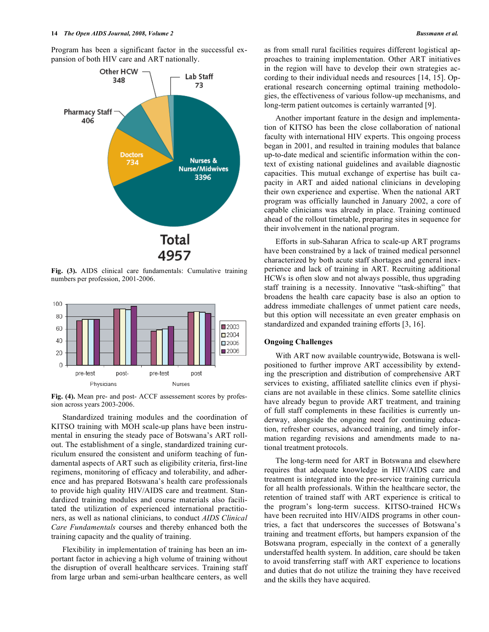Program has been a significant factor in the successful expansion of both HIV care and ART nationally.



**Fig. (3).** AIDS clinical care fundamentals: Cumulative training numbers per profession, 2001-2006.



**Fig. (4).** Mean pre- and post- ACCF assessement scores by profession across years 2003-2006.

 Standardized training modules and the coordination of KITSO training with MOH scale-up plans have been instrumental in ensuring the steady pace of Botswana's ART rollout. The establishment of a single, standardized training curriculum ensured the consistent and uniform teaching of fundamental aspects of ART such as eligibility criteria, first-line regimens, monitoring of efficacy and tolerability, and adherence and has prepared Botswana's health care professionals to provide high quality HIV/AIDS care and treatment. Standardized training modules and course materials also facilitated the utilization of experienced international practitioners, as well as national clinicians, to conduct *AIDS Clinical Care Fundamentals* courses and thereby enhanced both the training capacity and the quality of training.

 Flexibility in implementation of training has been an important factor in achieving a high volume of training without the disruption of overall healthcare services. Training staff from large urban and semi-urban healthcare centers, as well

as from small rural facilities requires different logistical approaches to training implementation. Other ART initiatives in the region will have to develop their own strategies according to their individual needs and resources [14, 15]. Operational research concerning optimal training methodologies, the effectiveness of various follow-up mechanisms, and long-term patient outcomes is certainly warranted [9].

 Another important feature in the design and implementation of KITSO has been the close collaboration of national faculty with international HIV experts. This ongoing process began in 2001, and resulted in training modules that balance up-to-date medical and scientific information within the context of existing national guidelines and available diagnostic capacities. This mutual exchange of expertise has built capacity in ART and aided national clinicians in developing their own experience and expertise. When the national ART program was officially launched in January 2002, a core of capable clinicians was already in place. Training continued ahead of the rollout timetable, preparing sites in sequence for their involvement in the national program.

 Efforts in sub-Saharan Africa to scale-up ART programs have been constrained by a lack of trained medical personnel characterized by both acute staff shortages and general inexperience and lack of training in ART. Recruiting additional HCWs is often slow and not always possible, thus upgrading staff training is a necessity. Innovative "task-shifting" that broadens the health care capacity base is also an option to address immediate challenges of unmet patient care needs, but this option will necessitate an even greater emphasis on standardized and expanded training efforts [3, 16].

## **Ongoing Challenges**

 With ART now available countrywide, Botswana is wellpositioned to further improve ART accessibility by extending the prescription and distribution of comprehensive ART services to existing, affiliated satellite clinics even if physicians are not available in these clinics. Some satellite clinics have already begun to provide ART treatment, and training of full staff complements in these facilities is currently underway, alongside the ongoing need for continuing education, refresher courses, advanced training, and timely information regarding revisions and amendments made to national treatment protocols.

 The long-term need for ART in Botswana and elsewhere requires that adequate knowledge in HIV/AIDS care and treatment is integrated into the pre-service training curricula for all health professionals. Within the healthcare sector, the retention of trained staff with ART experience is critical to the program's long-term success. KITSO-trained HCWs have been recruited into HIV/AIDS programs in other countries, a fact that underscores the successes of Botswana's training and treatment efforts, but hampers expansion of the Botswana program, especially in the context of a generally understaffed health system. In addition, care should be taken to avoid transferring staff with ART experience to locations and duties that do not utilize the training they have received and the skills they have acquired.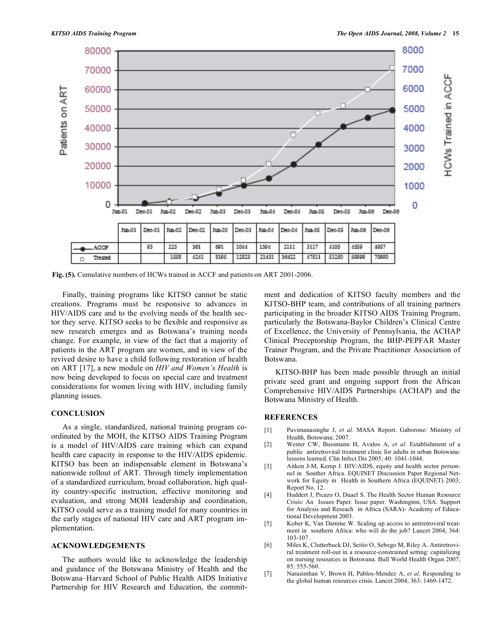

**Fig. (5).** Cumulative numbers of HCWs trained in ACCF and patients on ART 2001-2006.

 Finally, training programs like KITSO cannot be static creations. Programs must be responsive to advances in HIV/AIDS care and to the evolving needs of the health sector they serve. KITSO seeks to be flexible and responsive as new research emerges and as Botswana's training needs change. For example, in view of the fact that a majority of patients in the ART program are women, and in view of the revived desire to have a child following restoration of health on ART [17], a new module on *HIV and Women's Health* is now being developed to focus on special care and treatment considerations for women living with HIV, including family planning issues.

## **CONCLUSION**

 As a single, standardized, national training program coordinated by the MOH, the KITSO AIDS Training Program is a model of HIV/AIDS care training which can expand health care capacity in response to the HIV/AIDS epidemic. KITSO has been an indispensable element in Botswana's nationwide rollout of ART. Through timely implementation of a standardized curriculum, broad collaboration, high quality country-specific instruction, effective monitoring and evaluation, and strong MOH leadership and coordination, KITSO could serve as a training model for many countries in the early stages of national HIV care and ART program implementation.

#### **ACKNOWLEDGEMENTS**

 The authors would like to acknowledge the leadership and guidance of the Botswana Ministry of Health and the Botswana–Harvard School of Public Health AIDS Initiative Partnership for HIV Research and Education, the commitment and dedication of KITSO faculty members and the KITSO-BHP team, and contributions of all training partners participating in the broader KITSO AIDS Training Program, particularly the Botswana-Baylor Children's Clinical Centre of Excellence, the University of Pennsylvania, the ACHAP Clinical Preceptorship Program, the BHP-PEPFAR Master Trainer Program, and the Private Practitioner Association of Botswana.

 KITSO-BHP has been made possible through an initial private seed grant and ongoing support from the African Comprehensive HIV/AIDS Partnerships (ACHAP) and the Botswana Ministry of Health.

## **REFERENCES**

- [1] Puvimanasinghe J, *et al.* MASA Report. Gaborone: Ministry of Health, Botswana; 2007.
- [2] Wester CW, Bussmann H, Avalos A, *et al*. Establishment of a public antiretroviral treatment clinic for adults in urban Botswana: lessons learned. Clin Infect Dis 2005; 40: 1041-1044.
- [3] Aitken J-M, Kemp J. HIV/AIDS, equity and health sector personnel in Souther Africa. EQUINET Discussion Paper Regional Network for Equity in Health in Southern Africa (EQUINET) 2003; Report No. 12.
- [4] Huddert J, Picazo O, Duael S. The Health Sector Human Resource Crisis: An Issues Paper. Issue paper. Washington, USA. Support for Analysis and Reseach in Africa (SARA)- Academy of Educational Development 2003.
- [5] Kober K, Van Damme W. Scaling up access to antiretroviral treatment in southern Africa: who will do the job? Lancet 2004; 364: 103-107.
- [6] Miles K, Clutterbuck DJ, Seitio O, Sebego M, Riley A. Antiretroviral treatment roll-out in a resource-constrained setting: capitalizing on nursing resources in Botswana. Bull World Health Organ 2007; 85: 555-560.
- [7] Narasimhan V, Brown H, Pablos-Mendez A, *et al*. Responding to the global human resources crisis. Lancet 2004; 363: 1469-1472.